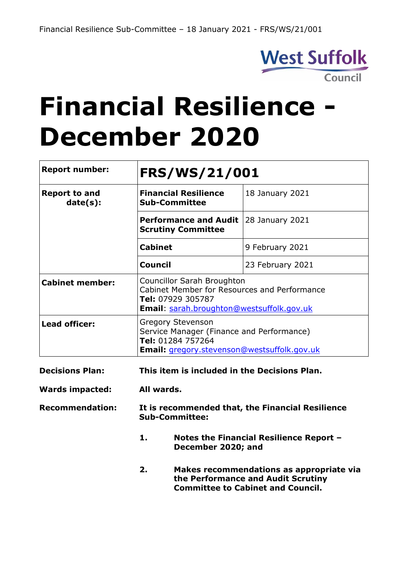

# **Financial Resilience - December 2020**

| <b>Report number:</b>            | <b>FRS/WS/21/001</b>                                                                                                                                |                                                                                |  |  |  |
|----------------------------------|-----------------------------------------------------------------------------------------------------------------------------------------------------|--------------------------------------------------------------------------------|--|--|--|
| <b>Report to and</b><br>date(s): | <b>Financial Resilience</b><br><b>Sub-Committee</b>                                                                                                 | 18 January 2021                                                                |  |  |  |
|                                  | <b>Performance and Audit</b><br><b>Scrutiny Committee</b>                                                                                           | 28 January 2021                                                                |  |  |  |
|                                  | <b>Cabinet</b>                                                                                                                                      | 9 February 2021                                                                |  |  |  |
|                                  | <b>Council</b>                                                                                                                                      | 23 February 2021                                                               |  |  |  |
| <b>Cabinet member:</b>           | <b>Councillor Sarah Broughton</b><br>Cabinet Member for Resources and Performance<br>Tel: 07929 305787<br>Email: sarah.broughton@westsuffolk.gov.uk |                                                                                |  |  |  |
| <b>Lead officer:</b>             | <b>Gregory Stevenson</b><br>Service Manager (Finance and Performance)<br>Tel: 01284 757264<br>Email: gregory.stevenson@westsuffolk.gov.uk           |                                                                                |  |  |  |
| <b>Decisions Plan:</b>           | This item is included in the Decisions Plan.                                                                                                        |                                                                                |  |  |  |
| <b>Wards impacted:</b>           | All wards.                                                                                                                                          |                                                                                |  |  |  |
| <b>Recommendation:</b>           | <b>Sub-Committee:</b>                                                                                                                               | It is recommended that, the Financial Resilience                               |  |  |  |
|                                  | 1.<br>December 2020; and                                                                                                                            | Notes the Financial Resilience Report -                                        |  |  |  |
|                                  | 2.                                                                                                                                                  | Makes recommendations as appropriate via<br>the Performance and Audit Scrutiny |  |  |  |

**Committee to Cabinet and Council.**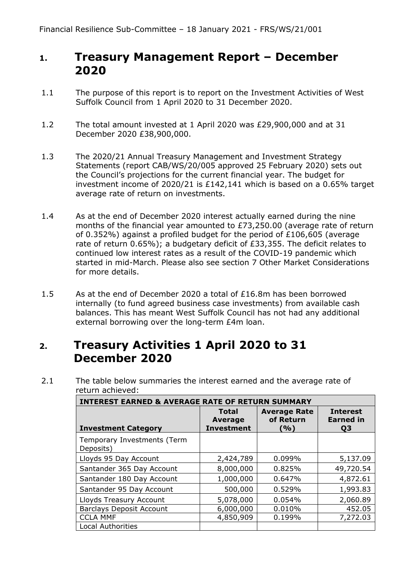## **1. Treasury Management Report – December 2020**

- 1.1 The purpose of this report is to report on the Investment Activities of West Suffolk Council from 1 April 2020 to 31 December 2020.
- 1.2 The total amount invested at 1 April 2020 was £29,900,000 and at 31 December 2020 £38,900,000.
- 1.3 The 2020/21 Annual Treasury Management and Investment Strategy Statements (report CAB/WS/20/005 approved 25 February 2020) sets out the Council's projections for the current financial year. The budget for investment income of 2020/21 is £142,141 which is based on a 0.65% target average rate of return on investments.
- 1.4 As at the end of December 2020 interest actually earned during the nine months of the financial year amounted to £73,250.00 (average rate of return of 0.352%) against a profiled budget for the period of £106,605 (average rate of return 0.65%); a budgetary deficit of £33,355. The deficit relates to continued low interest rates as a result of the COVID-19 pandemic which started in mid-March. Please also see section 7 Other Market Considerations for more details.
- 1.5 As at the end of December 2020 a total of £16.8m has been borrowed internally (to fund agreed business case investments) from available cash balances. This has meant West Suffolk Council has not had any additional external borrowing over the long-term £4m loan.

# **2. Treasury Activities 1 April 2020 to 31 December 2020**

2.1 The table below summaries the interest earned and the average rate of return achieved:

| <b>INTEREST EARNED &amp; AVERAGE RATE OF RETURN SUMMARY</b> |                                              |                                         |                                           |  |  |  |  |
|-------------------------------------------------------------|----------------------------------------------|-----------------------------------------|-------------------------------------------|--|--|--|--|
| <b>Investment Category</b>                                  | <b>Total</b><br>Average<br><b>Investment</b> | <b>Average Rate</b><br>of Return<br>(%) | <b>Interest</b><br><b>Earned</b> in<br>Q3 |  |  |  |  |
| Temporary Investments (Term<br>Deposits)                    |                                              |                                         |                                           |  |  |  |  |
| Lloyds 95 Day Account                                       | 2,424,789                                    | 0.099%                                  | 5,137.09                                  |  |  |  |  |
| Santander 365 Day Account                                   | 8,000,000                                    | 0.825%                                  | 49,720.54                                 |  |  |  |  |
| Santander 180 Day Account                                   | 1,000,000                                    | 0.647%                                  | 4,872.61                                  |  |  |  |  |
| Santander 95 Day Account                                    | 500,000                                      | 0.529%                                  | 1,993.83                                  |  |  |  |  |
| Lloyds Treasury Account                                     | 5,078,000                                    | $0.054\%$                               | 2,060.89                                  |  |  |  |  |
| <b>Barclays Deposit Account</b>                             | 6,000,000                                    | 0.010%                                  | 452.05                                    |  |  |  |  |
| <b>CCLA MMF</b>                                             | 4,850,909                                    | 0.199%                                  | 7,272.03                                  |  |  |  |  |
| <b>Local Authorities</b>                                    |                                              |                                         |                                           |  |  |  |  |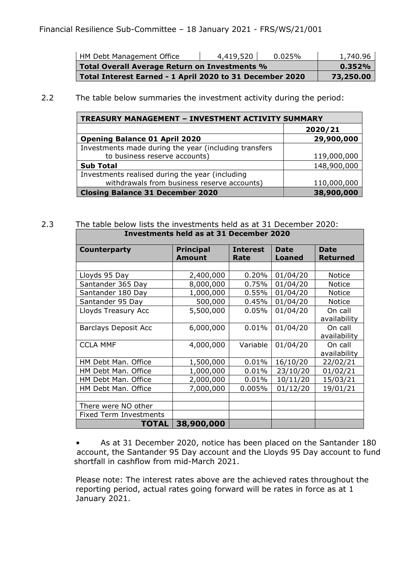| HM Debt Management Office                                | 0.025%    | 1,740.96 |
|----------------------------------------------------------|-----------|----------|
| Total Overall Average Return on Investments %            | 0.352%    |          |
| Total Interest Earned - 1 April 2020 to 31 December 2020 | 73,250.00 |          |

#### 2.2 The table below summaries the investment activity during the period:

| <b>TREASURY MANAGEMENT - INVESTMENT ACTIVITY SUMMARY</b> |             |  |  |  |  |
|----------------------------------------------------------|-------------|--|--|--|--|
|                                                          | 2020/21     |  |  |  |  |
| <b>Opening Balance 01 April 2020</b>                     | 29,900,000  |  |  |  |  |
| Investments made during the year (including transfers    |             |  |  |  |  |
| to business reserve accounts)                            | 119,000,000 |  |  |  |  |
| <b>Sub Total</b>                                         | 148,900,000 |  |  |  |  |
| Investments realised during the year (including          |             |  |  |  |  |
| withdrawals from business reserve accounts)              | 110,000,000 |  |  |  |  |
| <b>Closing Balance 31 December 2020</b>                  | 38,900,000  |  |  |  |  |

#### 2.3 The table below lists the investments held as at 31 December 2020: **Investments held as at 31 December 2020**

| Counterparty                  | <b>Principal</b> | <b>Interest</b> | <b>Date</b>   | <b>Date</b>     |
|-------------------------------|------------------|-----------------|---------------|-----------------|
|                               | <b>Amount</b>    | Rate            | <b>Loaned</b> | <b>Returned</b> |
|                               |                  |                 |               |                 |
| Lloyds 95 Day                 | 2,400,000        | 0.20%           | 01/04/20      | <b>Notice</b>   |
| Santander 365 Day             | 8,000,000        | 0.75%           | 01/04/20      | <b>Notice</b>   |
| Santander 180 Day             | 1,000,000        | 0.55%           | 01/04/20      | <b>Notice</b>   |
| Santander 95 Day              | 500,000          | 0.45%           | 01/04/20      | <b>Notice</b>   |
| Lloyds Treasury Acc           | 5,500,000        | 0.05%           | 01/04/20      | On call         |
|                               |                  |                 |               | availability    |
| <b>Barclays Deposit Acc</b>   | 6,000,000        | 0.01%           | 01/04/20      | On call         |
|                               |                  |                 |               | availability    |
| <b>CCLA MMF</b>               | 4,000,000        | Variable        | 01/04/20      | On call         |
|                               |                  |                 |               | availability    |
| HM Debt Man. Office           | 1,500,000        | 0.01%           | 16/10/20      | 22/02/21        |
| HM Debt Man. Office           | 1,000,000        | 0.01%           | 23/10/20      | 01/02/21        |
| HM Debt Man. Office           | 2,000,000        | 0.01%           | 10/11/20      | 15/03/21        |
| HM Debt Man. Office           | 7,000,000        | 0.005%          | 01/12/20      | 19/01/21        |
|                               |                  |                 |               |                 |
| There were NO other           |                  |                 |               |                 |
| <b>Fixed Term Investments</b> |                  |                 |               |                 |
| <b>TOTAL</b>                  | 38,900,000       |                 |               |                 |

• As at 31 December 2020, notice has been placed on the Santander 180 account, the Santander 95 Day account and the Lloyds 95 Day account to fund shortfall in cashflow from mid-March 2021.

Please note: The interest rates above are the achieved rates throughout the reporting period, actual rates going forward will be rates in force as at 1 January 2021.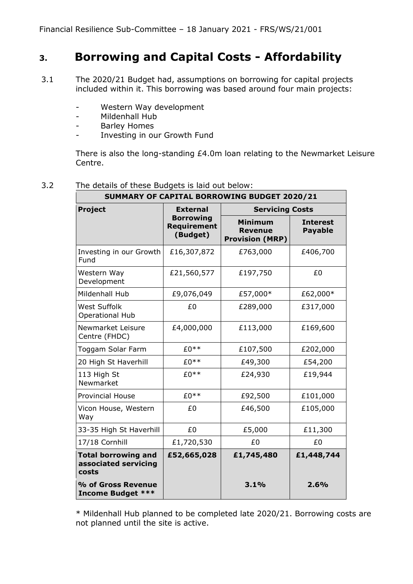# **3. Borrowing and Capital Costs - Affordability**

- 3.1 The 2020/21 Budget had, assumptions on borrowing for capital projects included within it. This borrowing was based around four main projects:
	- Western Way development
	- Mildenhall Hub
	- Barley Homes
	- Investing in our Growth Fund

There is also the long-standing £4.0m loan relating to the Newmarket Leisure Centre.

| 3.2<br>The details of these Budgets is laid out below: |  |
|--------------------------------------------------------|--|
|--------------------------------------------------------|--|

|                                                             |                                                    | SUMMARY OF CAPITAL BORROWING BUDGET 2020/21                |                                   |
|-------------------------------------------------------------|----------------------------------------------------|------------------------------------------------------------|-----------------------------------|
| <b>Project</b>                                              | <b>External</b>                                    | <b>Servicing Costs</b>                                     |                                   |
|                                                             | <b>Borrowing</b><br><b>Requirement</b><br>(Budget) | <b>Minimum</b><br><b>Revenue</b><br><b>Provision (MRP)</b> | <b>Interest</b><br><b>Payable</b> |
| Investing in our Growth<br>Fund                             | £16,307,872                                        | £763,000                                                   | £406,700                          |
| Western Way<br>Development                                  | £21,560,577                                        | £197,750                                                   | £0                                |
| Mildenhall Hub                                              | £9,076,049                                         | £57,000*                                                   | £62,000*                          |
| <b>West Suffolk</b><br><b>Operational Hub</b>               | £0                                                 | £289,000                                                   | £317,000                          |
| Newmarket Leisure<br>Centre (FHDC)                          | £4,000,000                                         | £113,000                                                   | £169,600                          |
| Toggam Solar Farm                                           | $£0**$                                             | £107,500                                                   | £202,000                          |
| 20 High St Haverhill                                        | $£0**$                                             | £49,300                                                    | £54,200                           |
| 113 High St<br>Newmarket                                    | $£0**$                                             | £24,930                                                    | £19,944                           |
| <b>Provincial House</b>                                     | $£0**$                                             | £92,500                                                    | £101,000                          |
| Vicon House, Western<br>Way                                 | £0                                                 | £46,500                                                    | £105,000                          |
| 33-35 High St Haverhill                                     | £0                                                 | £5,000                                                     | £11,300                           |
| 17/18 Cornhill                                              | £1,720,530                                         | £0                                                         | £0                                |
| <b>Total borrowing and</b><br>associated servicing<br>costs | £52,665,028                                        | £1,745,480                                                 | £1,448,744                        |
| % of Gross Revenue<br><b>Income Budget ***</b>              |                                                    | 3.1%                                                       | 2.6%                              |

\* Mildenhall Hub planned to be completed late 2020/21. Borrowing costs are not planned until the site is active.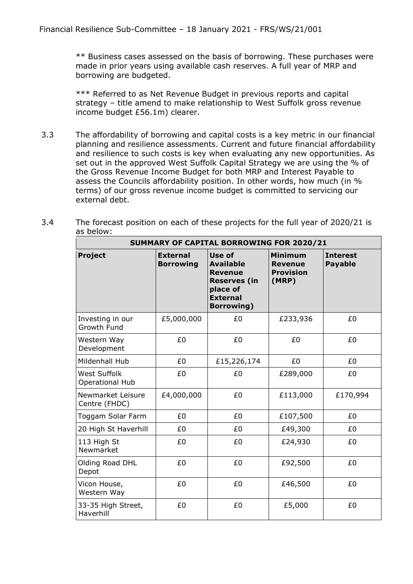\*\* Business cases assessed on the basis of borrowing. These purchases were made in prior years using available cash reserves. A full year of MRP and borrowing are budgeted.

\*\*\* Referred to as Net Revenue Budget in previous reports and capital strategy – title amend to make relationship to West Suffolk gross revenue income budget £56.1m) clearer.

3.3 The affordability of borrowing and capital costs is a key metric in our financial planning and resilience assessments. Current and future financial affordability and resilience to such costs is key when evaluating any new opportunities. As set out in the approved West Suffolk Capital Strategy we are using the % of the Gross Revenue Income Budget for both MRP and Interest Payable to assess the Councils affordability position. In other words, how much (in % terms) of our gross revenue income budget is committed to servicing our external debt.

| <b>SUMMARY OF CAPITAL BORROWING FOR 2020/21</b> |                                     |                                                                                                                          |                                                        |                                   |  |  |
|-------------------------------------------------|-------------------------------------|--------------------------------------------------------------------------------------------------------------------------|--------------------------------------------------------|-----------------------------------|--|--|
| <b>Project</b>                                  | <b>External</b><br><b>Borrowing</b> | Use of<br><b>Available</b><br><b>Revenue</b><br><b>Reserves (in</b><br>place of<br><b>External</b><br><b>Borrowing</b> ) | Minimum<br><b>Revenue</b><br><b>Provision</b><br>(MRP) | <b>Interest</b><br><b>Payable</b> |  |  |
| Investing in our<br>Growth Fund                 | £5,000,000                          | £0                                                                                                                       | £233,936                                               | £0                                |  |  |
| Western Way<br>Development                      | £0                                  | £0                                                                                                                       | £0                                                     | £0                                |  |  |
| Mildenhall Hub                                  | £0                                  | £15,226,174                                                                                                              | £0                                                     | £0                                |  |  |
| <b>West Suffolk</b><br>Operational Hub          | £0                                  | £0                                                                                                                       | £289,000                                               | £0                                |  |  |
| Newmarket Leisure<br>Centre (FHDC)              | £4,000,000                          | £0                                                                                                                       | £113,000                                               | £170,994                          |  |  |
| Toggam Solar Farm                               | £0                                  | £0                                                                                                                       | £107,500                                               | £0                                |  |  |
| 20 High St Haverhill                            | £0                                  | £0                                                                                                                       | £49,300                                                | £0                                |  |  |
| 113 High St<br>Newmarket                        | £0                                  | £0                                                                                                                       | £24,930                                                | £0                                |  |  |
| Olding Road DHL<br>Depot                        | £0                                  | £0                                                                                                                       | £92,500                                                | £0                                |  |  |
| Vicon House,<br>Western Way                     | £0                                  | £0                                                                                                                       | £46,500                                                | £0                                |  |  |
| 33-35 High Street,<br>Haverhill                 | £0                                  | £0                                                                                                                       | £5,000                                                 | £0                                |  |  |

3.4 The forecast position on each of these projects for the full year of 2020/21 is as below: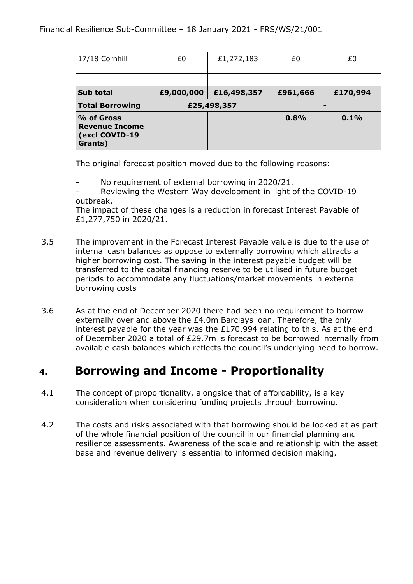| 17/18 Cornhill                                                   | £0         | £1,272,183  | £0       | £0       |  |
|------------------------------------------------------------------|------------|-------------|----------|----------|--|
|                                                                  |            |             |          |          |  |
| Sub total                                                        | £9,000,000 | £16,498,357 | £961,666 | £170,994 |  |
| <b>Total Borrowing</b>                                           |            | £25,498,357 |          |          |  |
| % of Gross<br><b>Revenue Income</b><br>(excl COVID-19<br>Grants) |            |             | 0.8%     | 0.1%     |  |

The original forecast position moved due to the following reasons:

No requirement of external borrowing in 2020/21.

Reviewing the Western Way development in light of the COVID-19 outbreak.

The impact of these changes is a reduction in forecast Interest Payable of £1,277,750 in 2020/21.

- 3.5 The improvement in the Forecast Interest Payable value is due to the use of internal cash balances as oppose to externally borrowing which attracts a higher borrowing cost. The saving in the interest payable budget will be transferred to the capital financing reserve to be utilised in future budget periods to accommodate any fluctuations/market movements in external borrowing costs
- 3.6 As at the end of December 2020 there had been no requirement to borrow externally over and above the £4.0m Barclays loan. Therefore, the only interest payable for the year was the £170,994 relating to this. As at the end of December 2020 a total of £29.7m is forecast to be borrowed internally from available cash balances which reflects the council's underlying need to borrow.

#### **4. Borrowing and Income - Proportionality**

- 4.1 The concept of proportionality, alongside that of affordability, is a key consideration when considering funding projects through borrowing.
- 4.2 The costs and risks associated with that borrowing should be looked at as part of the whole financial position of the council in our financial planning and resilience assessments. Awareness of the scale and relationship with the asset base and revenue delivery is essential to informed decision making.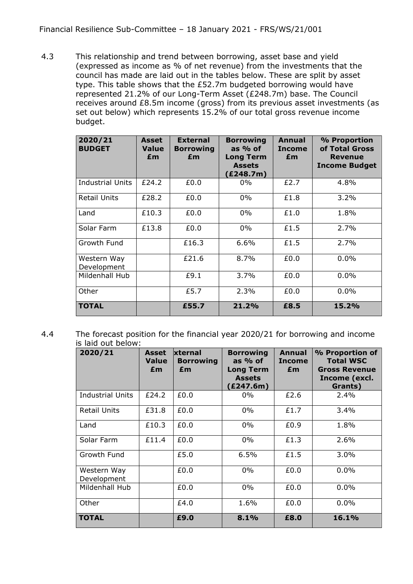4.3 This relationship and trend between borrowing, asset base and yield (expressed as income as % of net revenue) from the investments that the council has made are laid out in the tables below. These are split by asset type. This table shows that the £52.7m budgeted borrowing would have represented 21.2% of our Long-Term Asset (£248.7m) base. The Council receives around £8.5m income (gross) from its previous asset investments (as set out below) which represents 15.2% of our total gross revenue income budget.

| 2020/21<br><b>BUDGET</b>   | Asset<br><b>Value</b><br>£m | <b>External</b><br><b>Borrowing</b><br>£m | <b>Borrowing</b><br>as $%$ of<br><b>Long Term</b><br><b>Assets</b><br>(£248.7m) | Annual<br><b>Income</b><br>£m | % Proportion<br>of Total Gross<br><b>Revenue</b><br><b>Income Budget</b> |
|----------------------------|-----------------------------|-------------------------------------------|---------------------------------------------------------------------------------|-------------------------------|--------------------------------------------------------------------------|
| <b>Industrial Units</b>    | £24.2                       | £0.0                                      | $0\%$                                                                           | £2.7                          | 4.8%                                                                     |
| Retail Units               | £28.2                       | £0.0                                      | $0\%$                                                                           | £1.8                          | 3.2%                                                                     |
| Land                       | £10.3                       | £0.0                                      | $0\%$                                                                           | £1.0                          | 1.8%                                                                     |
| Solar Farm                 | £13.8                       | £0.0                                      | $0\%$                                                                           | £1.5                          | 2.7%                                                                     |
| Growth Fund                |                             | £16.3                                     | $6.6\%$                                                                         | £1.5                          | 2.7%                                                                     |
| Western Way<br>Development |                             | £21.6                                     | 8.7%                                                                            | £0.0                          | 0.0%                                                                     |
| Mildenhall Hub             |                             | £9.1                                      | 3.7%                                                                            | £0.0                          | $0.0\%$                                                                  |
| Other                      |                             | £5.7                                      | 2.3%                                                                            | £0.0                          | $0.0\%$                                                                  |
| <b>TOTAL</b>               |                             | £55.7                                     | 21.2%                                                                           | £8.5                          | 15.2%                                                                    |

4.4 The forecast position for the financial year 2020/21 for borrowing and income is laid out below:

| 2020/21                    | <b>Asset</b><br><b>Value</b><br>£m | <b>xternal</b><br><b>Borrowing</b><br>£m | <b>Borrowing</b><br>as $%$ of<br><b>Long Term</b><br><b>Assets</b><br>(£247.6m) | <b>Annual</b><br><b>Income</b><br>£m | % Proportion of<br><b>Total WSC</b><br><b>Gross Revenue</b><br>Income (excl.<br>Grants) |
|----------------------------|------------------------------------|------------------------------------------|---------------------------------------------------------------------------------|--------------------------------------|-----------------------------------------------------------------------------------------|
| <b>Industrial Units</b>    | £24.2                              | £0.0                                     | $0\%$                                                                           | £2.6                                 | $2.4\%$                                                                                 |
| <b>Retail Units</b>        | £31.8                              | £0.0                                     | $0\%$                                                                           | £1.7                                 | $3.4\%$                                                                                 |
| Land                       | £10.3                              | £0.0                                     | $0\%$                                                                           | £0.9                                 | 1.8%                                                                                    |
| Solar Farm                 | £11.4                              | £0.0                                     | $0\%$                                                                           | £1.3                                 | 2.6%                                                                                    |
| Growth Fund                |                                    | £5.0                                     | 6.5%                                                                            | £1.5                                 | 3.0%                                                                                    |
| Western Way<br>Development |                                    | £0.0                                     | $0\%$                                                                           | £0.0                                 | 0.0%                                                                                    |
| Mildenhall Hub             |                                    | £0.0                                     | $0\%$                                                                           | £0.0                                 | $0.0\%$                                                                                 |
| Other                      |                                    | £4.0                                     | 1.6%                                                                            | £0.0                                 | 0.0%                                                                                    |
| <b>TOTAL</b>               |                                    | £9.0                                     | 8.1%                                                                            | £8.0                                 | 16.1%                                                                                   |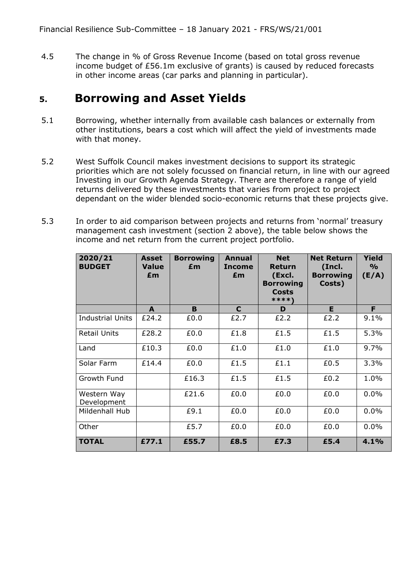4.5 The change in % of Gross Revenue Income (based on total gross revenue income budget of £56.1m exclusive of grants) is caused by reduced forecasts in other income areas (car parks and planning in particular).

#### **5. Borrowing and Asset Yields**

- 5.1 Borrowing, whether internally from available cash balances or externally from other institutions, bears a cost which will affect the yield of investments made with that money.
- 5.2 West Suffolk Council makes investment decisions to support its strategic priorities which are not solely focussed on financial return, in line with our agreed Investing in our Growth Agenda Strategy. There are therefore a range of yield returns delivered by these investments that varies from project to project dependant on the wider blended socio-economic returns that these projects give.
- 5.3 In order to aid comparison between projects and returns from 'normal' treasury management cash investment (section 2 above), the table below shows the income and net return from the current project portfolio.

| 2020/21<br><b>BUDGET</b>   | Asset<br><b>Value</b><br>£m | <b>Borrowing</b><br>£m | Annual<br><b>Income</b><br>£m | <b>Net</b><br>Return<br>(Excl.<br><b>Borrowing</b><br><b>Costs</b><br>****' | <b>Net Return</b><br>(Incl.<br><b>Borrowing</b><br>Costs) | Yield<br>$\frac{1}{2}$<br>(E/A) |
|----------------------------|-----------------------------|------------------------|-------------------------------|-----------------------------------------------------------------------------|-----------------------------------------------------------|---------------------------------|
|                            | A                           | B                      | C                             | D                                                                           | E.                                                        | F                               |
| <b>Industrial Units</b>    | £24.2                       | £0.0                   | £2.7                          | £2.2                                                                        | £2.2                                                      | 9.1%                            |
| <b>Retail Units</b>        | £28.2                       | £0.0                   | £1.8                          | £1.5                                                                        | £1.5                                                      | 5.3%                            |
| Land                       | £10.3                       | £0.0                   | £1.0                          | £1.0                                                                        | £1.0                                                      | 9.7%                            |
| Solar Farm                 | £14.4                       | £0.0                   | £1.5                          | £1.1                                                                        | £0.5                                                      | 3.3%                            |
| Growth Fund                |                             | £16.3                  | £1.5                          | £1.5                                                                        | £0.2                                                      | 1.0%                            |
| Western Way<br>Development |                             | £21.6                  | £0.0                          | £0.0                                                                        | £0.0                                                      | 0.0%                            |
| Mildenhall Hub             |                             | £9.1                   | £0.0                          | £0.0                                                                        | £0.0                                                      | 0.0%                            |
| Other                      |                             | £5.7                   | £0.0                          | £0.0                                                                        | £0.0                                                      | 0.0%                            |
| <b>TOTAL</b>               | £77.1                       | £55.7                  | £8.5                          | £7.3                                                                        | £5.4                                                      | 4.1%                            |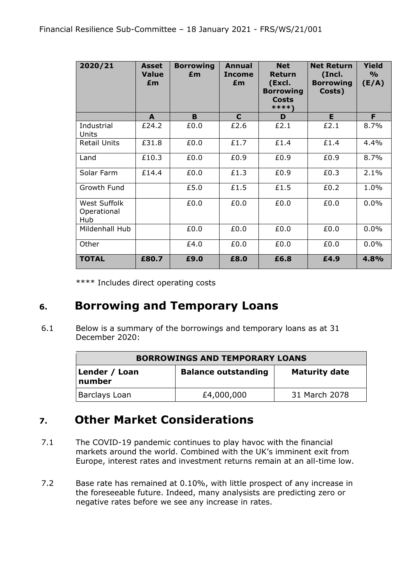| 2020/21                            | <b>Asset</b><br><b>Value</b><br>£m | <b>Borrowing</b><br>£m | Annual<br><b>Income</b><br>£m | <b>Net</b><br><b>Return</b><br>(Excl.<br><b>Borrowing</b><br><b>Costs</b><br>****\ | <b>Net Return</b><br>(Incl.<br><b>Borrowing</b><br>Costs) | <b>Yield</b><br>$\frac{9}{6}$<br>(E/A) |
|------------------------------------|------------------------------------|------------------------|-------------------------------|------------------------------------------------------------------------------------|-----------------------------------------------------------|----------------------------------------|
|                                    | A                                  | B                      | $\mathbf C$                   | D                                                                                  | E                                                         | F                                      |
| Industrial<br>Units                | £24.2                              | £0.0                   | £2.6                          | £2.1                                                                               | £2.1                                                      | 8.7%                                   |
| <b>Retail Units</b>                | £31.8                              | £0.0                   | £1.7                          | £1.4                                                                               | £1.4                                                      | 4.4%                                   |
| Land                               | £10.3                              | £0.0                   | £0.9                          | £0.9                                                                               | £0.9                                                      | 8.7%                                   |
| Solar Farm                         | £14.4                              | £0.0                   | £1.3                          | £0.9                                                                               | £0.3                                                      | 2.1%                                   |
| Growth Fund                        |                                    | £5.0                   | £1.5                          | £1.5                                                                               | £0.2                                                      | 1.0%                                   |
| West Suffolk<br>Operational<br>Hub |                                    | £0.0                   | £0.0                          | £0.0                                                                               | £0.0                                                      | 0.0%                                   |
| Mildenhall Hub                     |                                    | £0.0                   | £0.0                          | £0.0                                                                               | £0.0                                                      | 0.0%                                   |
| Other                              |                                    | £4.0                   | £0.0                          | £0.0                                                                               | £0.0                                                      | 0.0%                                   |
| <b>TOTAL</b>                       | £80.7                              | £9.0                   | £8.0                          | £6.8                                                                               | £4.9                                                      | 4.8%                                   |

\*\*\*\* Includes direct operating costs

# **6. Borrowing and Temporary Loans**

6.1 Below is a summary of the borrowings and temporary loans as at 31 December 2020:

| <b>BORROWINGS AND TEMPORARY LOANS</b> |                            |                      |  |  |  |  |
|---------------------------------------|----------------------------|----------------------|--|--|--|--|
| Lender / Loan<br>number               | <b>Balance outstanding</b> | <b>Maturity date</b> |  |  |  |  |
| Barclays Loan                         | £4,000,000                 | 31 March 2078        |  |  |  |  |

# **7. Other Market Considerations**

- 7.1 The COVID-19 pandemic continues to play havoc with the financial markets around the world. Combined with the UK's imminent exit from Europe, interest rates and investment returns remain at an all-time low.
- 7.2 Base rate has remained at 0.10%, with little prospect of any increase in the foreseeable future. Indeed, many analysists are predicting zero or negative rates before we see any increase in rates.